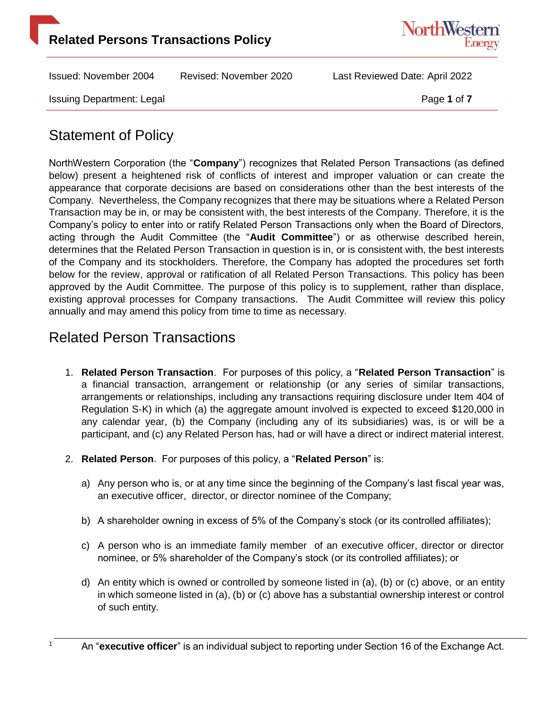



Issuing Department: Legal **Page 1** of **7** and **Page 1** of **7** 

# Statement of Policy

NorthWestern Corporation (the "**Company**") recognizes that Related Person Transactions (as defined below) present a heightened risk of conflicts of interest and improper valuation or can create the appearance that corporate decisions are based on considerations other than the best interests of the Company. Nevertheless, the Company recognizes that there may be situations where a Related Person Transaction may be in, or may be consistent with, the best interests of the Company. Therefore, it is the Company's policy to enter into or ratify Related Person Transactions only when the Board of Directors, acting through the Audit Committee (the "**Audit Committee**") or as otherwise described herein, determines that the Related Person Transaction in question is in, or is consistent with, the best interests of the Company and its stockholders. Therefore, the Company has adopted the procedures set forth below for the review, approval or ratification of all Related Person Transactions. This policy has been approved by the Audit Committee. The purpose of this policy is to supplement, rather than displace, existing approval processes for Company transactions. The Audit Committee will review this policy annually and may amend this policy from time to time as necessary.

### Related Person Transactions

- 1. **Related Person Transaction**. For purposes of this policy, a "**Related Person Transaction**" is a financial transaction, arrangement or relationship (or any series of similar transactions, arrangements or relationships, including any transactions requiring disclosure under Item 404 of Regulation S-K) in which (a) the aggregate amount involved is expected to exceed \$120,000 in any calendar year, (b) the Company (including any of its subsidiaries) was, is or will be a participant, and (c) any Related Person has, had or will have a direct or indirect material interest.
- 2. **Related Person**. For purposes of this policy, a "**Related Person**" is:
	- a) Any person who is, or at any time since the beginning of the Company's last fiscal year was, an executive officer, director, or director nominee of the Company;
	- b) A shareholder owning in excess of 5% of the Company's stock (or its controlled affiliates);
	- c) A person who is an immediate family member of an executive officer, director or director nominee, or 5% shareholder of the Company's stock (or its controlled affiliates); or
	- d) An entity which is owned or controlled by someone listed in (a), (b) or (c) above, or an entity in which someone listed in (a), (b) or (c) above has a substantial ownership interest or control of such entity.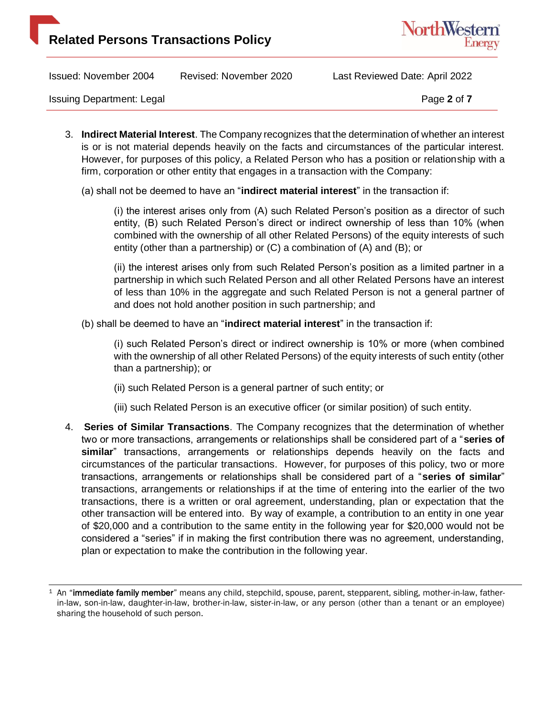



Issuing Department: Legal **Page 2** of **7** and **Page 2** of **7** 

3. **Indirect Material Interest**. The Company recognizes that the determination of whether an interest is or is not material depends heavily on the facts and circumstances of the particular interest. However, for purposes of this policy, a Related Person who has a position or relationship with a firm, corporation or other entity that engages in a transaction with the Company:

(a) shall not be deemed to have an "**indirect material interest**" in the transaction if:

(i) the interest arises only from (A) such Related Person's position as a director of such entity, (B) such Related Person's direct or indirect ownership of less than 10% (when combined with the ownership of all other Related Persons) of the equity interests of such entity (other than a partnership) or (C) a combination of (A) and (B); or

(ii) the interest arises only from such Related Person's position as a limited partner in a partnership in which such Related Person and all other Related Persons have an interest of less than 10% in the aggregate and such Related Person is not a general partner of and does not hold another position in such partnership; and

(b) shall be deemed to have an "**indirect material interest**" in the transaction if:

(i) such Related Person's direct or indirect ownership is 10% or more (when combined with the ownership of all other Related Persons) of the equity interests of such entity (other than a partnership); or

(ii) such Related Person is a general partner of such entity; or

- (iii) such Related Person is an executive officer (or similar position) of such entity.
- 4. **Series of Similar Transactions**. The Company recognizes that the determination of whether two or more transactions, arrangements or relationships shall be considered part of a "**series of similar**" transactions, arrangements or relationships depends heavily on the facts and circumstances of the particular transactions. However, for purposes of this policy, two or more transactions, arrangements or relationships shall be considered part of a "**series of similar**" transactions, arrangements or relationships if at the time of entering into the earlier of the two transactions, there is a written or oral agreement, understanding, plan or expectation that the other transaction will be entered into. By way of example, a contribution to an entity in one year of \$20,000 and a contribution to the same entity in the following year for \$20,000 would not be considered a "series" if in making the first contribution there was no agreement, understanding, plan or expectation to make the contribution in the following year.

<sup>&</sup>lt;sup>1</sup> An "immediate family member" means any child, stepchild, spouse, parent, stepparent, sibling, mother-in-law, fatherin-law, son-in-law, daughter-in-law, brother-in-law, sister-in-law, or any person (other than a tenant or an employee) sharing the household of such person.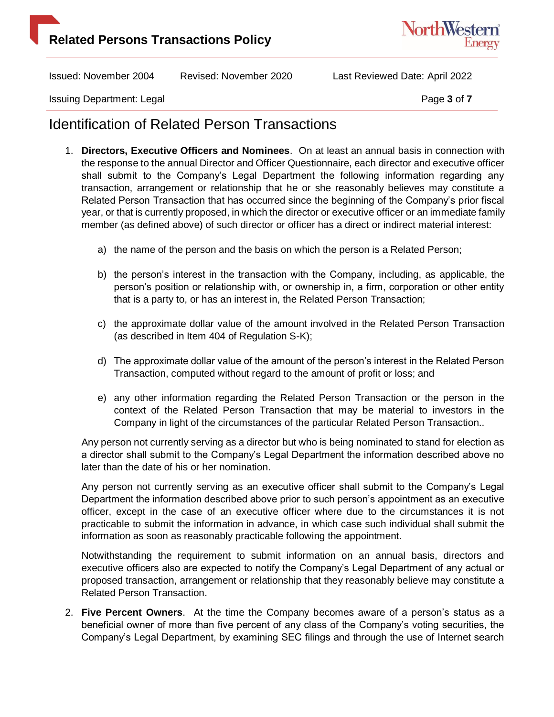# **Related Persons Transactions Policy**



Issued: November 2004 Revised: November 2020 Last Reviewed Date: April 2022

Issuing Department: Legal **Page 3** of **7** and **Page 3** of **7** 

#### Identification of Related Person Transactions

- 1. **Directors, Executive Officers and Nominees**. On at least an annual basis in connection with the response to the annual Director and Officer Questionnaire, each director and executive officer shall submit to the Company's Legal Department the following information regarding any transaction, arrangement or relationship that he or she reasonably believes may constitute a Related Person Transaction that has occurred since the beginning of the Company's prior fiscal year, or that is currently proposed, in which the director or executive officer or an immediate family member (as defined above) of such director or officer has a direct or indirect material interest:
	- a) the name of the person and the basis on which the person is a Related Person;
	- b) the person's interest in the transaction with the Company, including, as applicable, the person's position or relationship with, or ownership in, a firm, corporation or other entity that is a party to, or has an interest in, the Related Person Transaction;
	- c) the approximate dollar value of the amount involved in the Related Person Transaction (as described in Item 404 of Regulation S-K);
	- d) The approximate dollar value of the amount of the person's interest in the Related Person Transaction, computed without regard to the amount of profit or loss; and
	- e) any other information regarding the Related Person Transaction or the person in the context of the Related Person Transaction that may be material to investors in the Company in light of the circumstances of the particular Related Person Transaction..

Any person not currently serving as a director but who is being nominated to stand for election as a director shall submit to the Company's Legal Department the information described above no later than the date of his or her nomination.

Any person not currently serving as an executive officer shall submit to the Company's Legal Department the information described above prior to such person's appointment as an executive officer, except in the case of an executive officer where due to the circumstances it is not practicable to submit the information in advance, in which case such individual shall submit the information as soon as reasonably practicable following the appointment.

Notwithstanding the requirement to submit information on an annual basis, directors and executive officers also are expected to notify the Company's Legal Department of any actual or proposed transaction, arrangement or relationship that they reasonably believe may constitute a Related Person Transaction.

2. **Five Percent Owners**. At the time the Company becomes aware of a person's status as a beneficial owner of more than five percent of any class of the Company's voting securities, the Company's Legal Department, by examining SEC filings and through the use of Internet search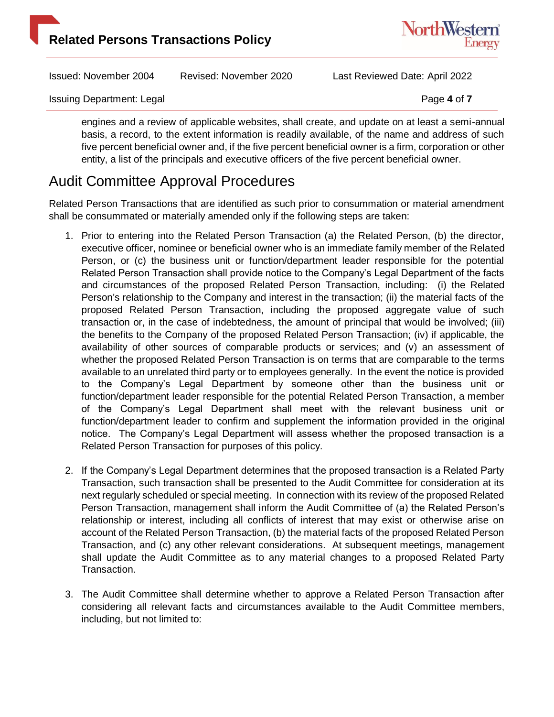



Issuing Department: Legal **Page 4** of **7** and **Page 4** of **7** 

engines and a review of applicable websites, shall create, and update on at least a semi-annual basis, a record, to the extent information is readily available, of the name and address of such five percent beneficial owner and, if the five percent beneficial owner is a firm, corporation or other entity, a list of the principals and executive officers of the five percent beneficial owner.

# Audit Committee Approval Procedures

Related Person Transactions that are identified as such prior to consummation or material amendment shall be consummated or materially amended only if the following steps are taken:

- 1. Prior to entering into the Related Person Transaction (a) the Related Person, (b) the director, executive officer, nominee or beneficial owner who is an immediate family member of the Related Person, or (c) the business unit or function/department leader responsible for the potential Related Person Transaction shall provide notice to the Company's Legal Department of the facts and circumstances of the proposed Related Person Transaction, including: (i) the Related Person's relationship to the Company and interest in the transaction; (ii) the material facts of the proposed Related Person Transaction, including the proposed aggregate value of such transaction or, in the case of indebtedness, the amount of principal that would be involved; (iii) the benefits to the Company of the proposed Related Person Transaction; (iv) if applicable, the availability of other sources of comparable products or services; and (v) an assessment of whether the proposed Related Person Transaction is on terms that are comparable to the terms available to an unrelated third party or to employees generally. In the event the notice is provided to the Company's Legal Department by someone other than the business unit or function/department leader responsible for the potential Related Person Transaction, a member of the Company's Legal Department shall meet with the relevant business unit or function/department leader to confirm and supplement the information provided in the original notice. The Company's Legal Department will assess whether the proposed transaction is a Related Person Transaction for purposes of this policy.
- 2. If the Company's Legal Department determines that the proposed transaction is a Related Party Transaction, such transaction shall be presented to the Audit Committee for consideration at its next regularly scheduled or special meeting. In connection with its review of the proposed Related Person Transaction, management shall inform the Audit Committee of (a) the Related Person's relationship or interest, including all conflicts of interest that may exist or otherwise arise on account of the Related Person Transaction, (b) the material facts of the proposed Related Person Transaction, and (c) any other relevant considerations. At subsequent meetings, management shall update the Audit Committee as to any material changes to a proposed Related Party Transaction.
- 3. The Audit Committee shall determine whether to approve a Related Person Transaction after considering all relevant facts and circumstances available to the Audit Committee members, including, but not limited to: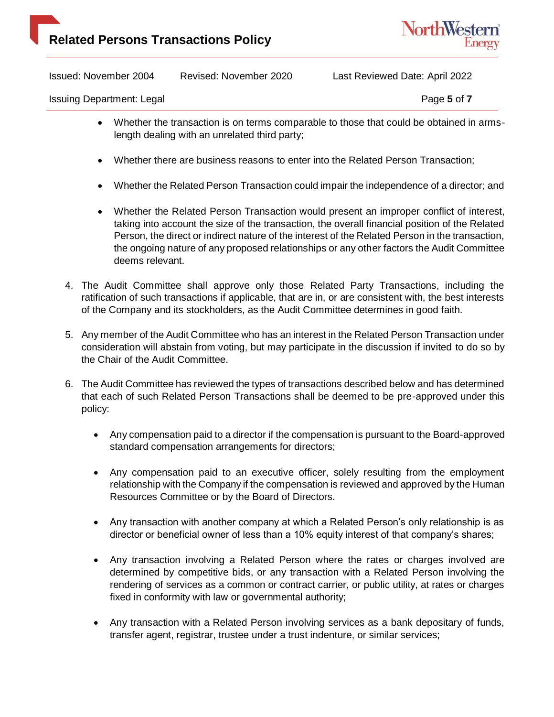

Issuing Department: Legal **Page 5** of **7** and **Page 5** of **7** 

- Whether the transaction is on terms comparable to those that could be obtained in armslength dealing with an unrelated third party;
- Whether there are business reasons to enter into the Related Person Transaction;
- Whether the Related Person Transaction could impair the independence of a director; and
- Whether the Related Person Transaction would present an improper conflict of interest, taking into account the size of the transaction, the overall financial position of the Related Person, the direct or indirect nature of the interest of the Related Person in the transaction, the ongoing nature of any proposed relationships or any other factors the Audit Committee deems relevant.
- 4. The Audit Committee shall approve only those Related Party Transactions, including the ratification of such transactions if applicable, that are in, or are consistent with, the best interests of the Company and its stockholders, as the Audit Committee determines in good faith.
- 5. Any member of the Audit Committee who has an interest in the Related Person Transaction under consideration will abstain from voting, but may participate in the discussion if invited to do so by the Chair of the Audit Committee.
- 6. The Audit Committee has reviewed the types of transactions described below and has determined that each of such Related Person Transactions shall be deemed to be pre-approved under this policy:
	- Any compensation paid to a director if the compensation is pursuant to the Board-approved standard compensation arrangements for directors;
	- Any compensation paid to an executive officer, solely resulting from the employment relationship with the Company if the compensation is reviewed and approved by the Human Resources Committee or by the Board of Directors.
	- Any transaction with another company at which a Related Person's only relationship is as director or beneficial owner of less than a 10% equity interest of that company's shares;
	- Any transaction involving a Related Person where the rates or charges involved are determined by competitive bids, or any transaction with a Related Person involving the rendering of services as a common or contract carrier, or public utility, at rates or charges fixed in conformity with law or governmental authority;
	- Any transaction with a Related Person involving services as a bank depositary of funds, transfer agent, registrar, trustee under a trust indenture, or similar services;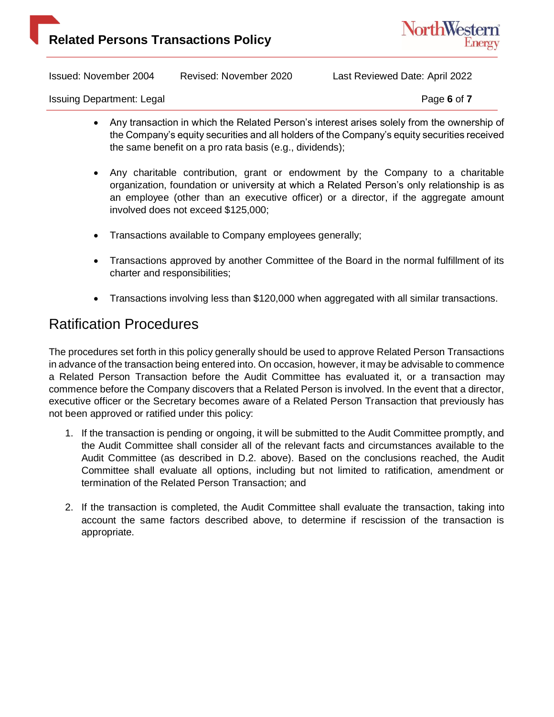



Issuing Department: Legal **Page 6** of **7** and **Page 6** of **7** 

- Any transaction in which the Related Person's interest arises solely from the ownership of the Company's equity securities and all holders of the Company's equity securities received the same benefit on a pro rata basis (e.g., dividends);
- Any charitable contribution, grant or endowment by the Company to a charitable organization, foundation or university at which a Related Person's only relationship is as an employee (other than an executive officer) or a director, if the aggregate amount involved does not exceed \$125,000;
- Transactions available to Company employees generally;
- Transactions approved by another Committee of the Board in the normal fulfillment of its charter and responsibilities;
- Transactions involving less than \$120,000 when aggregated with all similar transactions.

#### Ratification Procedures

The procedures set forth in this policy generally should be used to approve Related Person Transactions in advance of the transaction being entered into. On occasion, however, it may be advisable to commence a Related Person Transaction before the Audit Committee has evaluated it, or a transaction may commence before the Company discovers that a Related Person is involved. In the event that a director, executive officer or the Secretary becomes aware of a Related Person Transaction that previously has not been approved or ratified under this policy:

- 1. If the transaction is pending or ongoing, it will be submitted to the Audit Committee promptly, and the Audit Committee shall consider all of the relevant facts and circumstances available to the Audit Committee (as described in D.2. above). Based on the conclusions reached, the Audit Committee shall evaluate all options, including but not limited to ratification, amendment or termination of the Related Person Transaction; and
- 2. If the transaction is completed, the Audit Committee shall evaluate the transaction, taking into account the same factors described above, to determine if rescission of the transaction is appropriate.